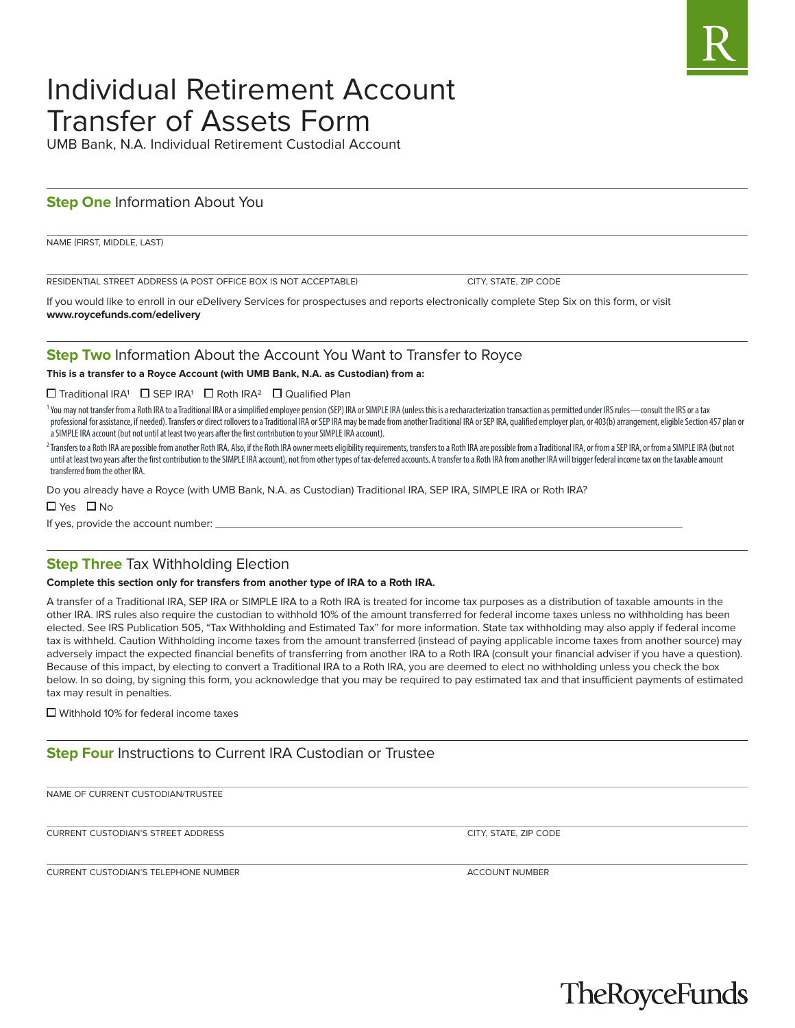# Individual Retirement Account Transfer of Assets Form

UMB Bank, N.A. Individual Retirement Custodial Account

## **Step One Information About You**

NAME (FIRST, MIDDLE, LAST)

RESIDENTIAL STREET ADDRESS (A POST OFFICE BOX IS NOT ACCEPTABLE) CITY, STATE, ZIP CODE

If you would like to enroll in our eDelivery Services for prospectuses and reports electronically complete Step Six on this form, or visit **www.roycefunds.com/edelivery**

## **Step Two** Information About the Account You Want to Transfer to Royce

**This is a transfer to a Royce Account (with UMB Bank, N.A. as Custodian) from a:**

#### Traditional IRA1SEP IRA1Roth IRA2Qualified Plan

<sup>1</sup>You may not transfer from a Roth IRA to a Traditional IRA or a simplified employee pension (SEP) IRA or SIMPLE IRA (unless this is a recharacterization transaction as permitted under IRS rules—consult the IRS or a tax professional for assistance, if needed). Transfers or direct rollovers to a Traditional IRA or SEP IRA may be made from another Traditional IRA or SEP IRA, qualified employer plan, or 403(b) arrangement, eligible Section 4 a SIMPLE IRA account (but not until at least two years after the first contribution to your SIMPLE IRA account).

<sup>2</sup> Transfers to a Roth IRA are possible from another Roth IRA. Also, if the Roth IRA owner meets eligibility requirements, transfers to a Roth IRA are possible from a Traditional IRA, or from a SEP IRA, or from a SIMPLE I until at least two years after the first contribution to the SIMPLE IRA account), not from other types of tax-deferred accounts. A transfer to a Roth IRA from another IRA will trigger federal income tax on the taxable amount transferred from the other IRA.

Do you already have a Royce (with UMB Bank, N.A. as Custodian) Traditional IRA, SEP IRA, SIMPLE IRA or Roth IRA?

YesNo

If yes, provide the account number:

## **Step Three** Tax Withholding Election

#### **Complete this section only for transfers from another type of IRA to a Roth IRA.**

A transfer of a Traditional IRA, SEP IRA or SIMPLE IRA to a Roth IRA is treated for income tax purposes as a distribution of taxable amounts in the other IRA. IRS rules also require the custodian to withhold 10% of the amount transferred for federal income taxes unless no withholding has been elected. See IRS Publication 505, "Tax Withholding and Estimated Tax" for more information. State tax withholding may also apply if federal income tax is withheld. Caution Withholding income taxes from the amount transferred (instead of paying applicable income taxes from another source) may adversely impact the expected financial benefits of transferring from another IRA to a Roth IRA (consult your financial adviser if you have a question). Because of this impact, by electing to convert a Traditional IRA to a Roth IRA, you are deemed to elect no withholding unless you check the box below. In so doing, by signing this form, you acknowledge that you may be required to pay estimated tax and that insufficient payments of estimated tax may result in penalties.

■ Withhold 10% for federal income taxes

## **Step Four** Instructions to Current IRA Custodian or Trustee

NAME OF CURRENT CUSTODIAN/TRUSTEE

CURRENT CUSTODIAN'S STREET ADDRESS CITY, STATE, ZIP CODE

CURRENT CUSTODIAN'S TELEPHONE NUMBER **ACCOUNT NUMBER** ACCOUNT NUMBER

TheRoyceFunds

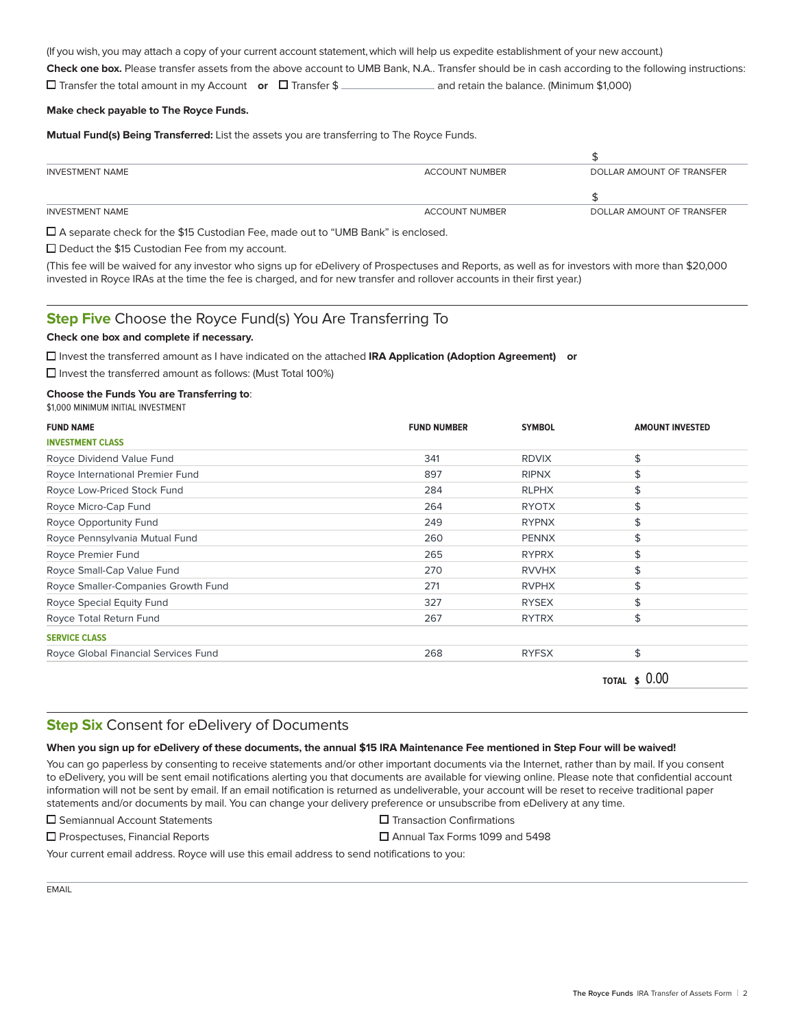(If you wish, you may attach a copy of your current account statement, which will help us expedite establishment of your new account.) **Check one box.** Please transfer assets from the above account to UMB Bank, N.A.. Transfer should be in cash according to the following instructions: Transfer the total amount in my Account **or** Transfer \$ and retain the balance. (Minimum \$1,000)

#### **Make check payable to The Royce Funds.**

**Mutual Fund(s) Being Transferred:** List the assets you are transferring to The Royce Funds.

| INVESTMENT NAME | ACCOUNT NUMBER | DOLLAR AMOUNT OF TRANSFER |
|-----------------|----------------|---------------------------|
|                 |                |                           |
| INVESTMENT NAME | ACCOUNT NUMBER | DOLLAR AMOUNT OF TRANSFER |
|                 |                |                           |

A separate check for the \$15 Custodian Fee, made out to "UMB Bank" is enclosed.

□ Deduct the \$15 Custodian Fee from my account.

(This fee will be waived for any investor who signs up for eDelivery of Prospectuses and Reports, as well as for investors with more than \$20,000 invested in Royce IRAs at the time the fee is charged, and for new transfer and rollover accounts in their first year.)

## **Step Five** Choose the Royce Fund(s) You Are Transferring To

#### **Check one box and complete if necessary.**

Invest the transferred amount as I have indicated on the attached **IRA Application (Adoption Agreement) or**

■ Invest the transferred amount as follows: (Must Total 100%)

#### **Choose the Funds You are Transferring to**:

\$1,000 MINIMUM INITIAL INVESTMENT

| <b>FUND NAME</b>                     | <b>FUND NUMBER</b> | <b>SYMBOL</b> | <b>AMOUNT INVESTED</b> |
|--------------------------------------|--------------------|---------------|------------------------|
| <b>INVESTMENT CLASS</b>              |                    |               |                        |
| Royce Dividend Value Fund            | 341                | <b>RDVIX</b>  | \$                     |
| Royce International Premier Fund     | 897                | <b>RIPNX</b>  | \$                     |
| Royce Low-Priced Stock Fund          | 284                | <b>RLPHX</b>  | \$                     |
| Royce Micro-Cap Fund                 | 264                | <b>RYOTX</b>  |                        |
| Royce Opportunity Fund               | 249                | <b>RYPNX</b>  |                        |
| Royce Pennsylvania Mutual Fund       | 260                | <b>PENNX</b>  |                        |
| Royce Premier Fund                   | 265                | <b>RYPRX</b>  | \$                     |
| Royce Small-Cap Value Fund           | 270                | <b>RVVHX</b>  |                        |
| Royce Smaller-Companies Growth Fund  | 271                | <b>RVPHX</b>  |                        |
| Royce Special Equity Fund            | 327                | <b>RYSEX</b>  |                        |
| Royce Total Return Fund              | 267                | <b>RYTRX</b>  | S                      |
| <b>SERVICE CLASS</b>                 |                    |               |                        |
| Royce Global Financial Services Fund | 268                | <b>RYFSX</b>  | \$                     |
|                                      |                    |               | <b>TOTAL \$ 0.00</b>   |

### **Step Six** Consent for eDelivery of Documents

#### **When you sign up for eDelivery of these documents, the annual \$15 IRA Maintenance Fee mentioned in Step Four will be waived!**

You can go paperless by consenting to receive statements and/or other important documents via the Internet, rather than by mail. If you consent to eDelivery, you will be sent email notifications alerting you that documents are available for viewing online. Please note that confidential account information will not be sent by email. If an email notification is returned as undeliverable, your account will be reset to receive traditional paper statements and/or documents by mail. You can change your delivery preference or unsubscribe from eDelivery at any time.

Semiannual Account StatementsTransaction Confirmations

Prospectuses, Financial ReportsAnnual Tax Forms 1099 and 5498

Your current email address. Royce will use this email address to send notifications to you:

|--|--|